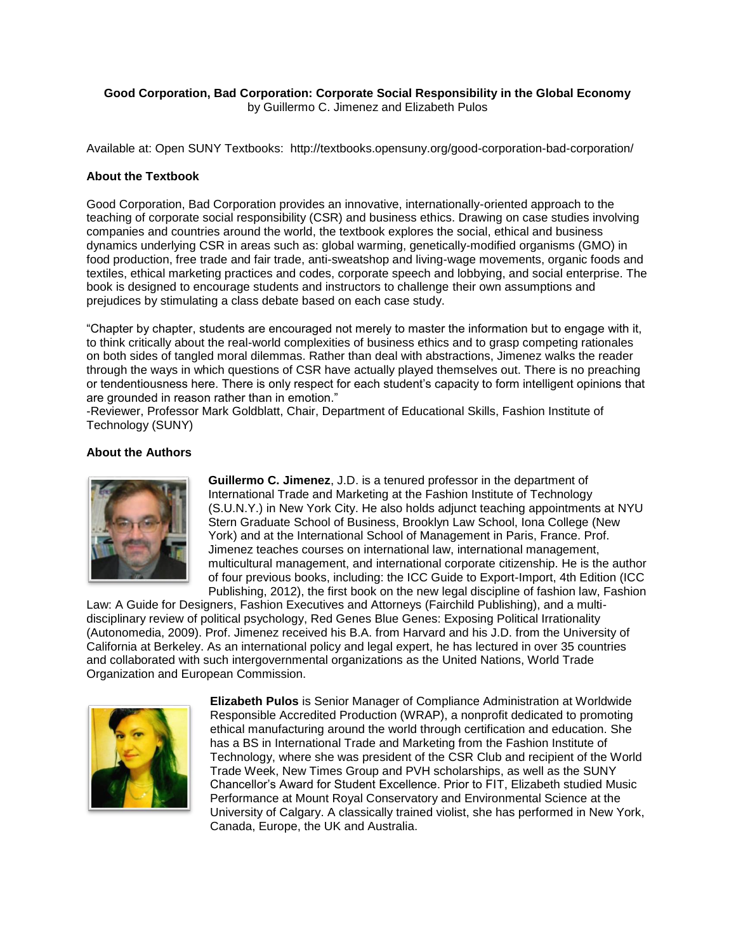## **Good Corporation, Bad Corporation: Corporate Social Responsibility in the Global Economy** by Guillermo C. Jimenez and Elizabeth Pulos

Available at: Open SUNY Textbooks: http://textbooks.opensuny.org/good-corporation-bad-corporation/

## **About the Textbook**

Good Corporation, Bad Corporation provides an innovative, internationally-oriented approach to the teaching of corporate social responsibility (CSR) and business ethics. Drawing on case studies involving companies and countries around the world, the textbook explores the social, ethical and business dynamics underlying CSR in areas such as: global warming, genetically-modified organisms (GMO) in food production, free trade and fair trade, anti-sweatshop and living-wage movements, organic foods and textiles, ethical marketing practices and codes, corporate speech and lobbying, and social enterprise. The book is designed to encourage students and instructors to challenge their own assumptions and prejudices by stimulating a class debate based on each case study.

"Chapter by chapter, students are encouraged not merely to master the information but to engage with it, to think critically about the real-world complexities of business ethics and to grasp competing rationales on both sides of tangled moral dilemmas. Rather than deal with abstractions, Jimenez walks the reader through the ways in which questions of CSR have actually played themselves out. There is no preaching or tendentiousness here. There is only respect for each student's capacity to form intelligent opinions that are grounded in reason rather than in emotion."

-Reviewer, Professor Mark Goldblatt, Chair, Department of Educational Skills, Fashion Institute of Technology (SUNY)

## **About the Authors**



**Guillermo C. Jimenez**, J.D. is a tenured professor in the department of International Trade and Marketing at the Fashion Institute of Technology (S.U.N.Y.) in New York City. He also holds adjunct teaching appointments at NYU Stern Graduate School of Business, Brooklyn Law School, Iona College (New York) and at the International School of Management in Paris, France. Prof. Jimenez teaches courses on international law, international management, multicultural management, and international corporate citizenship. He is the author of four previous books, including: the ICC Guide to Export-Import, 4th Edition (ICC Publishing, 2012), the first book on the new legal discipline of fashion law, Fashion

Law: A Guide for Designers, Fashion Executives and Attorneys (Fairchild Publishing), and a multidisciplinary review of political psychology, Red Genes Blue Genes: Exposing Political Irrationality (Autonomedia, 2009). Prof. Jimenez received his B.A. from Harvard and his J.D. from the University of California at Berkeley. As an international policy and legal expert, he has lectured in over 35 countries and collaborated with such intergovernmental organizations as the United Nations, World Trade Organization and European Commission.



**Elizabeth Pulos** is Senior Manager of Compliance Administration at Worldwide Responsible Accredited Production (WRAP), a nonprofit dedicated to promoting ethical manufacturing around the world through certification and education. She has a BS in International Trade and Marketing from the Fashion Institute of Technology, where she was president of the CSR Club and recipient of the World Trade Week, New Times Group and PVH scholarships, as well as the SUNY Chancellor's Award for Student Excellence. Prior to FIT, Elizabeth studied Music Performance at Mount Royal Conservatory and Environmental Science at the University of Calgary. A classically trained violist, she has performed in New York, Canada, Europe, the UK and Australia.